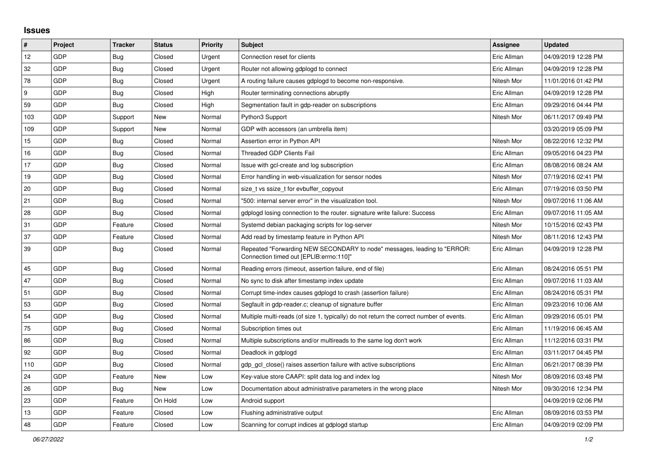## **Issues**

| $\pmb{\#}$ | Project    | <b>Tracker</b> | <b>Status</b> | <b>Priority</b> | <b>Subject</b>                                                                                                      | Assignee    | <b>Updated</b>      |
|------------|------------|----------------|---------------|-----------------|---------------------------------------------------------------------------------------------------------------------|-------------|---------------------|
| 12         | GDP        | Bug            | Closed        | Urgent          | Connection reset for clients                                                                                        | Eric Allman | 04/09/2019 12:28 PM |
| 32         | GDP        | Bug            | Closed        | Urgent          | Router not allowing gdplogd to connect                                                                              | Eric Allman | 04/09/2019 12:28 PM |
| 78         | GDP        | <b>Bug</b>     | Closed        | Urgent          | A routing failure causes gdplogd to become non-responsive.                                                          | Nitesh Mor  | 11/01/2016 01:42 PM |
| 9          | GDP        | <b>Bug</b>     | Closed        | High            | Router terminating connections abruptly                                                                             | Eric Allman | 04/09/2019 12:28 PM |
| 59         | GDP        | Bug            | Closed        | High            | Segmentation fault in gdp-reader on subscriptions                                                                   | Eric Allman | 09/29/2016 04:44 PM |
| 103        | GDP        | Support        | New           | Normal          | Python3 Support                                                                                                     | Nitesh Mor  | 06/11/2017 09:49 PM |
| 109        | GDP        | Support        | New           | Normal          | GDP with accessors (an umbrella item)                                                                               |             | 03/20/2019 05:09 PM |
| 15         | GDP        | Bug            | Closed        | Normal          | Assertion error in Python API                                                                                       | Nitesh Mor  | 08/22/2016 12:32 PM |
| 16         | GDP        | Bug            | Closed        | Normal          | <b>Threaded GDP Clients Fail</b>                                                                                    | Eric Allman | 09/05/2016 04:23 PM |
| 17         | GDP        | Bug            | Closed        | Normal          | Issue with gcl-create and log subscription                                                                          | Eric Allman | 08/08/2016 08:24 AM |
| 19         | <b>GDP</b> | Bug            | Closed        | Normal          | Error handling in web-visualization for sensor nodes                                                                | Nitesh Mor  | 07/19/2016 02:41 PM |
| 20         | GDP        | Bug            | Closed        | Normal          | size t vs ssize t for evbuffer copyout                                                                              | Eric Allman | 07/19/2016 03:50 PM |
| 21         | GDP        | Bug            | Closed        | Normal          | '500: internal server error" in the visualization tool.                                                             | Nitesh Mor  | 09/07/2016 11:06 AM |
| 28         | GDP        | Bug            | Closed        | Normal          | gdplogd losing connection to the router, signature write failure: Success                                           | Eric Allman | 09/07/2016 11:05 AM |
| 31         | GDP        | Feature        | Closed        | Normal          | Systemd debian packaging scripts for log-server                                                                     | Nitesh Mor  | 10/15/2016 02:43 PM |
| 37         | GDP        | Feature        | Closed        | Normal          | Add read by timestamp feature in Python API                                                                         | Nitesh Mor  | 08/11/2016 12:43 PM |
| 39         | GDP        | Bug            | Closed        | Normal          | Repeated "Forwarding NEW SECONDARY to node" messages, leading to "ERROR:<br>Connection timed out [EPLIB:errno:110]" | Eric Allman | 04/09/2019 12:28 PM |
| 45         | GDP        | Bug            | Closed        | Normal          | Reading errors (timeout, assertion failure, end of file)                                                            | Eric Allman | 08/24/2016 05:51 PM |
| 47         | <b>GDP</b> | <b>Bug</b>     | Closed        | Normal          | No sync to disk after timestamp index update                                                                        | Eric Allman | 09/07/2016 11:03 AM |
| 51         | <b>GDP</b> | <b>Bug</b>     | Closed        | Normal          | Corrupt time-index causes gdplogd to crash (assertion failure)                                                      | Eric Allman | 08/24/2016 05:31 PM |
| 53         | GDP        | <b>Bug</b>     | Closed        | Normal          | Segfault in gdp-reader.c; cleanup of signature buffer                                                               | Eric Allman | 09/23/2016 10:06 AM |
| 54         | <b>GDP</b> | <b>Bug</b>     | Closed        | Normal          | Multiple multi-reads (of size 1, typically) do not return the correct number of events.                             | Eric Allman | 09/29/2016 05:01 PM |
| 75         | GDP        | Bug            | Closed        | Normal          | Subscription times out                                                                                              | Eric Allman | 11/19/2016 06:45 AM |
| 86         | GDP        | Bug            | Closed        | Normal          | Multiple subscriptions and/or multireads to the same log don't work                                                 | Eric Allman | 11/12/2016 03:31 PM |
| 92         | GDP        | Bug            | Closed        | Normal          | Deadlock in gdplogd                                                                                                 | Eric Allman | 03/11/2017 04:45 PM |
| 110        | <b>GDP</b> | <b>Bug</b>     | Closed        | Normal          | adp acl close() raises assertion failure with active subscriptions                                                  | Eric Allman | 06/21/2017 08:39 PM |
| 24         | GDP        | Feature        | New           | Low             | Key-value store CAAPI: split data log and index log                                                                 | Nitesh Mor  | 08/09/2016 03:48 PM |
| 26         | GDP        | Bug            | New           | Low             | Documentation about administrative parameters in the wrong place                                                    | Nitesh Mor  | 09/30/2016 12:34 PM |
| 23         | GDP        | Feature        | On Hold       | Low             | Android support                                                                                                     |             | 04/09/2019 02:06 PM |
| 13         | GDP        | Feature        | Closed        | Low             | Flushing administrative output                                                                                      | Eric Allman | 08/09/2016 03:53 PM |
| 48         | GDP        | Feature        | Closed        | Low             | Scanning for corrupt indices at gdplogd startup                                                                     | Eric Allman | 04/09/2019 02:09 PM |